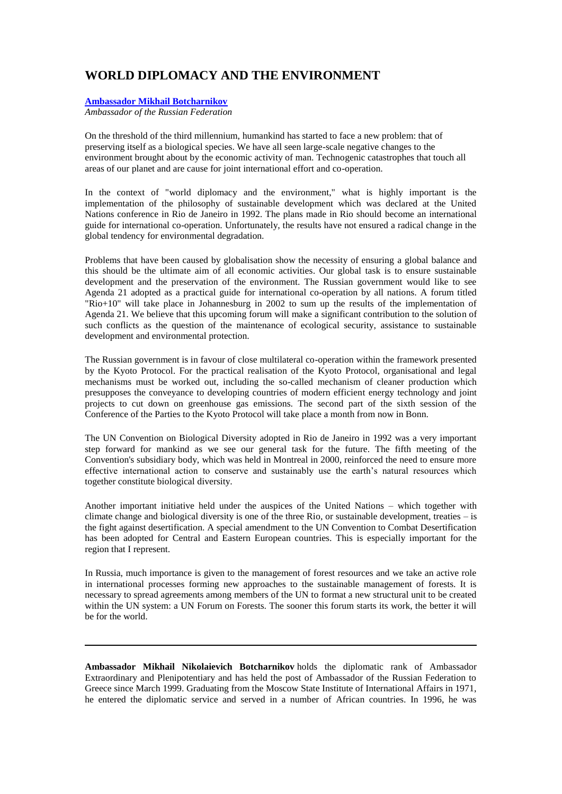## **WORLD DIPLOMACY AND THE ENVIRONMENT**

## **[Ambassador Mikhail Botcharnikov](file://server/Current%20Work/DOROTHY/PUBS/proceedings/VOL8/html/Botcharnikov.htm%231)**

*Ambassador of the Russian Federation*

On the threshold of the third millennium, humankind has started to face a new problem: that of preserving itself as a biological species. We have all seen large-scale negative changes to the environment brought about by the economic activity of man. Technogenic catastrophes that touch all areas of our planet and are cause for joint international effort and co-operation.

In the context of "world diplomacy and the environment," what is highly important is the implementation of the philosophy of sustainable development which was declared at the United Nations conference in Rio de Janeiro in 1992. The plans made in Rio should become an international guide for international co-operation. Unfortunately, the results have not ensured a radical change in the global tendency for environmental degradation.

Problems that have been caused by globalisation show the necessity of ensuring a global balance and this should be the ultimate aim of all economic activities. Our global task is to ensure sustainable development and the preservation of the environment. The Russian government would like to see Agenda 21 adopted as a practical guide for international co-operation by all nations. A forum titled "Rio+10" will take place in Johannesburg in 2002 to sum up the results of the implementation of Agenda 21. We believe that this upcoming forum will make a significant contribution to the solution of such conflicts as the question of the maintenance of ecological security, assistance to sustainable development and environmental protection.

The Russian government is in favour of close multilateral co-operation within the framework presented by the Kyoto Protocol. For the practical realisation of the Kyoto Protocol, organisational and legal mechanisms must be worked out, including the so-called mechanism of cleaner production which presupposes the conveyance to developing countries of modern efficient energy technology and joint projects to cut down on greenhouse gas emissions. The second part of the sixth session of the Conference of the Parties to the Kyoto Protocol will take place a month from now in Bonn.

The UN Convention on Biological Diversity adopted in Rio de Janeiro in 1992 was a very important step forward for mankind as we see our general task for the future. The fifth meeting of the Convention's subsidiary body, which was held in Montreal in 2000, reinforced the need to ensure more effective international action to conserve and sustainably use the earth's natural resources which together constitute biological diversity.

Another important initiative held under the auspices of the United Nations – which together with climate change and biological diversity is one of the three Rio, or sustainable development, treaties – is the fight against desertification. A special amendment to the UN Convention to Combat Desertification has been adopted for Central and Eastern European countries. This is especially important for the region that I represent.

In Russia, much importance is given to the management of forest resources and we take an active role in international processes forming new approaches to the sustainable management of forests. It is necessary to spread agreements among members of the UN to format a new structural unit to be created within the UN system: a UN Forum on Forests. The sooner this forum starts its work, the better it will be for the world.

**Ambassador Mikhail Nikolaievich Botcharnikov** holds the diplomatic rank of Ambassador Extraordinary and Plenipotentiary and has held the post of Ambassador of the Russian Federation to Greece since March 1999. Graduating from the Moscow State Institute of International Affairs in 1971, he entered the diplomatic service and served in a number of African countries. In 1996, he was